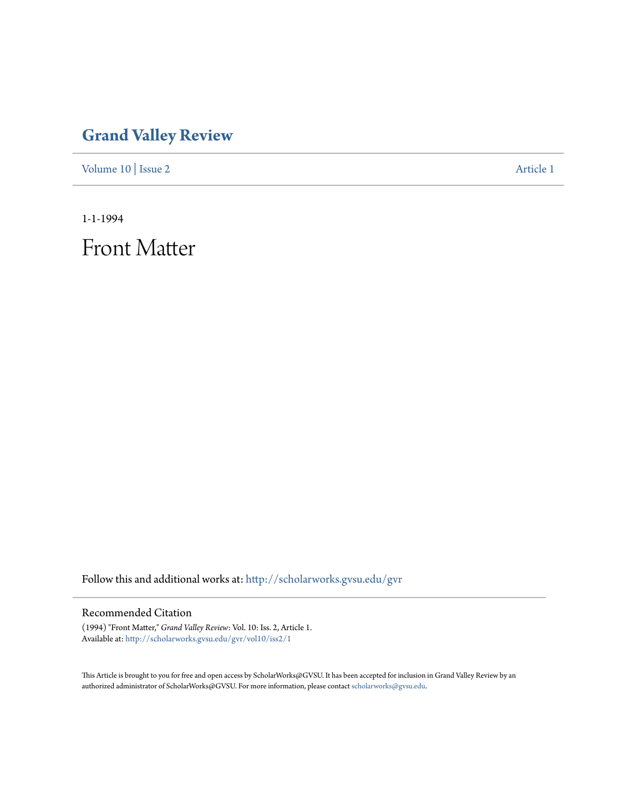## **[Grand Valley Review](http://scholarworks.gvsu.edu/gvr?utm_source=scholarworks.gvsu.edu%2Fgvr%2Fvol10%2Fiss2%2F1&utm_medium=PDF&utm_campaign=PDFCoverPages)**

[Volume 10](http://scholarworks.gvsu.edu/gvr/vol10?utm_source=scholarworks.gvsu.edu%2Fgvr%2Fvol10%2Fiss2%2F1&utm_medium=PDF&utm_campaign=PDFCoverPages) | [Issue 2](http://scholarworks.gvsu.edu/gvr/vol10/iss2?utm_source=scholarworks.gvsu.edu%2Fgvr%2Fvol10%2Fiss2%2F1&utm_medium=PDF&utm_campaign=PDFCoverPages) [Article 1](http://scholarworks.gvsu.edu/gvr/vol10/iss2/1?utm_source=scholarworks.gvsu.edu%2Fgvr%2Fvol10%2Fiss2%2F1&utm_medium=PDF&utm_campaign=PDFCoverPages)

1-1-1994

Front Matter

Follow this and additional works at: [http://scholarworks.gvsu.edu/gvr](http://scholarworks.gvsu.edu/gvr?utm_source=scholarworks.gvsu.edu%2Fgvr%2Fvol10%2Fiss2%2F1&utm_medium=PDF&utm_campaign=PDFCoverPages)

## Recommended Citation

(1994) "Front Matter," *Grand Valley Review*: Vol. 10: Iss. 2, Article 1. Available at: [http://scholarworks.gvsu.edu/gvr/vol10/iss2/1](http://scholarworks.gvsu.edu/gvr/vol10/iss2/1?utm_source=scholarworks.gvsu.edu%2Fgvr%2Fvol10%2Fiss2%2F1&utm_medium=PDF&utm_campaign=PDFCoverPages)

This Article is brought to you for free and open access by ScholarWorks@GVSU. It has been accepted for inclusion in Grand Valley Review by an authorized administrator of ScholarWorks@GVSU. For more information, please contact [scholarworks@gvsu.edu.](mailto:scholarworks@gvsu.edu)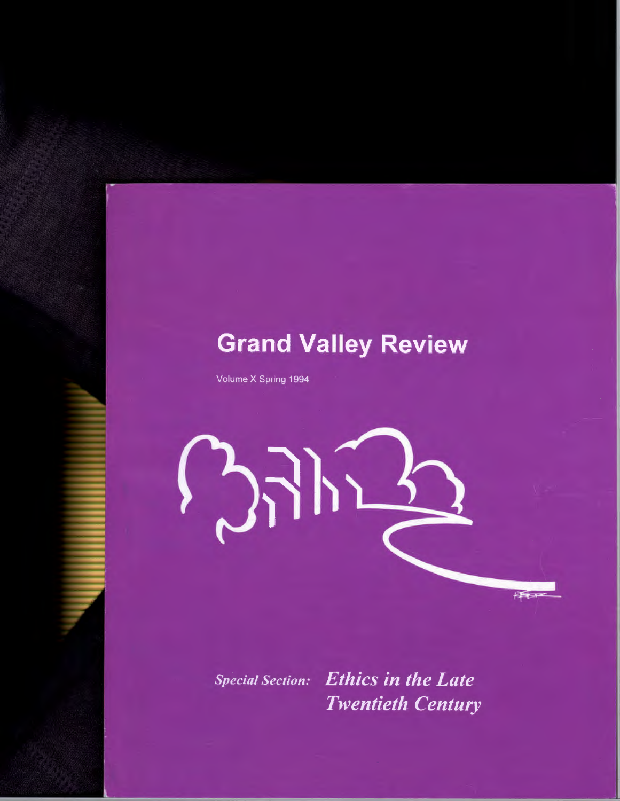## **Grand Valley Review**

Volume X Spring 1994



**Ethics in the Late Special Section: Twentieth Century**